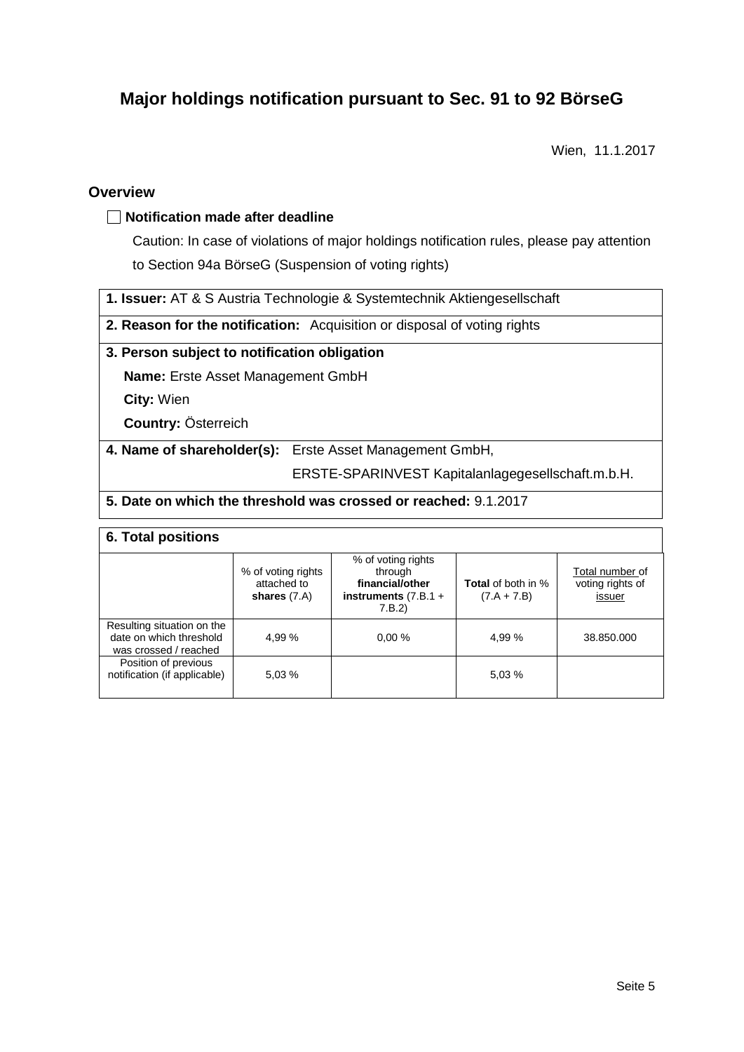# **Major holdings notification pursuant to Sec. 91 to 92 BörseG**

Wien, 11.1.2017

### **Overview**

### **Notification made after deadline**

Caution: In case of violations of major holdings notification rules, please pay attention to Section 94a BörseG (Suspension of voting rights)

**1. Issuer:** AT & S Austria Technologie & Systemtechnik Aktiengesellschaft

**2. Reason for the notification:** Acquisition or disposal of voting rights

### **3. Person subject to notification obligation**

**Name:** Erste Asset Management GmbH

**City:** Wien

**Country:** Österreich

**4. Name of shareholder(s):** Erste Asset Management GmbH,

ERSTE-SPARINVEST Kapitalanlagegesellschaft.m.b.H.

### **5. Date on which the threshold was crossed or reached:** 9.1.2017

### **6. Total positions**

|                                                                                | % of voting rights<br>attached to<br>shares $(7.A)$ | % of voting rights<br>through<br>financial/other<br>instruments $(7.B.1 +$<br>7.B.2 | <b>Total</b> of both in %<br>$(7.A + 7.B)$ | Total number of<br>voting rights of<br>issuer |  |
|--------------------------------------------------------------------------------|-----------------------------------------------------|-------------------------------------------------------------------------------------|--------------------------------------------|-----------------------------------------------|--|
| Resulting situation on the<br>date on which threshold<br>was crossed / reached | 4.99%                                               | 0.00%                                                                               | 4.99 %                                     | 38.850.000                                    |  |
| Position of previous<br>notification (if applicable)                           | 5.03 %                                              |                                                                                     | 5.03 %                                     |                                               |  |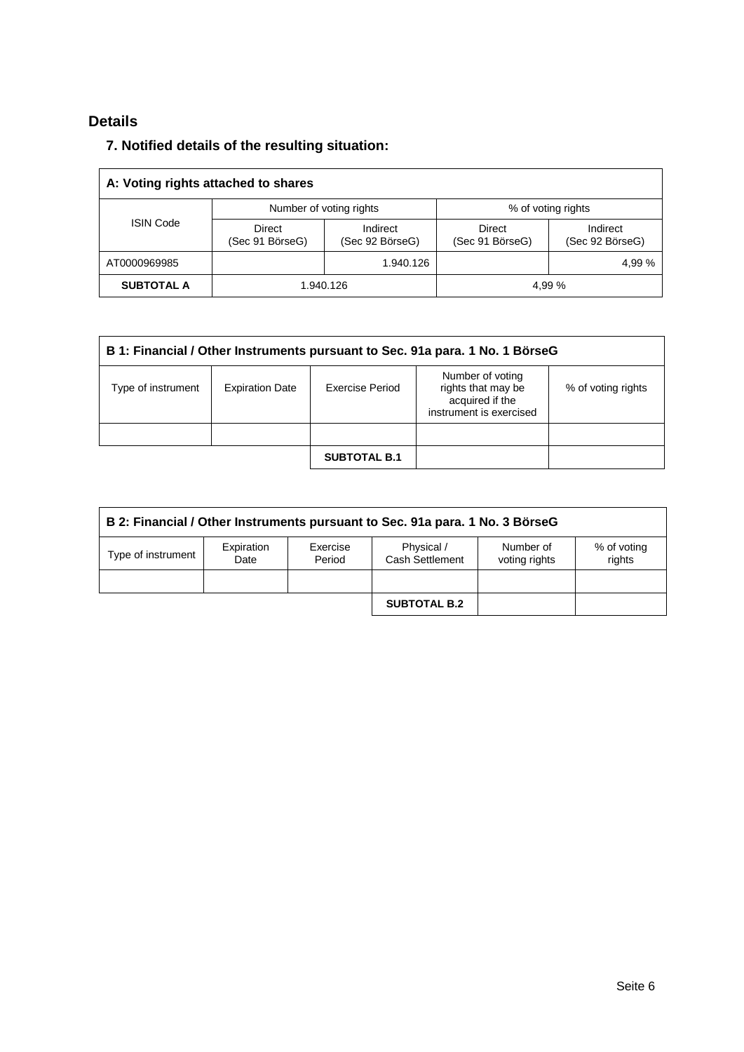# **Details**

# **7. Notified details of the resulting situation:**

| A: Voting rights attached to shares |                                  |                             |                           |                             |  |
|-------------------------------------|----------------------------------|-----------------------------|---------------------------|-----------------------------|--|
| <b>ISIN Code</b>                    |                                  | Number of voting rights     | % of voting rights        |                             |  |
|                                     | <b>Direct</b><br>(Sec 91 BörseG) | Indirect<br>(Sec 92 BörseG) | Direct<br>(Sec 91 BörseG) | Indirect<br>(Sec 92 BörseG) |  |
| AT0000969985                        |                                  | 1.940.126                   |                           | 4.99%                       |  |
| <b>SUBTOTAL A</b>                   | 1.940.126                        |                             | 4,99 %                    |                             |  |

| B 1: Financial / Other Instruments pursuant to Sec. 91a para. 1 No. 1 BörseG |                        |                     |                                                                                      |                    |  |
|------------------------------------------------------------------------------|------------------------|---------------------|--------------------------------------------------------------------------------------|--------------------|--|
| Type of instrument                                                           | <b>Expiration Date</b> | Exercise Period     | Number of voting<br>rights that may be<br>acquired if the<br>instrument is exercised | % of voting rights |  |
|                                                                              |                        |                     |                                                                                      |                    |  |
|                                                                              |                        | <b>SUBTOTAL B.1</b> |                                                                                      |                    |  |

| B 2: Financial / Other Instruments pursuant to Sec. 91a para. 1 No. 3 BörseG |                    |                    |                               |                            |                       |
|------------------------------------------------------------------------------|--------------------|--------------------|-------------------------------|----------------------------|-----------------------|
| Type of instrument                                                           | Expiration<br>Date | Exercise<br>Period | Physical /<br>Cash Settlement | Number of<br>voting rights | % of voting<br>rights |
|                                                                              |                    |                    |                               |                            |                       |
|                                                                              |                    |                    | <b>SUBTOTAL B.2</b>           |                            |                       |